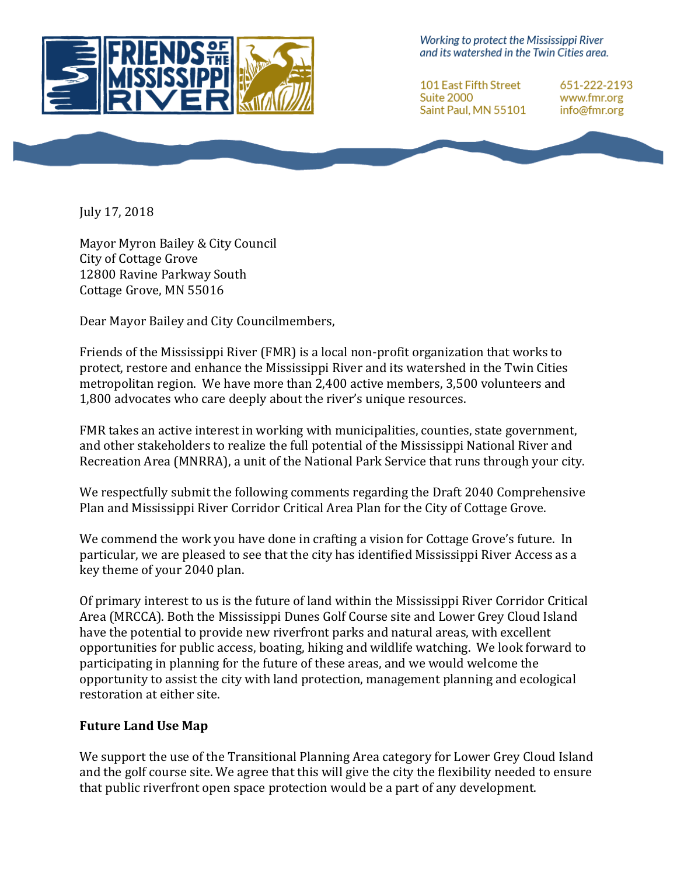

Working to protect the Mississippi River and its watershed in the Twin Cities area.

101 East Fifth Street Suite 2000 Saint Paul, MN 55101

651-222-2193 www.fmr.org info@fmr.org

July 17, 2018

Mayor Myron Bailey & City Council City of Cottage Grove 12800 Ravine Parkway South Cottage Grove, MN 55016

Dear Mayor Bailey and City Councilmembers,

Friends of the Mississippi River (FMR) is a local non-profit organization that works to protect, restore and enhance the Mississippi River and its watershed in the Twin Cities metropolitan region. We have more than 2,400 active members, 3,500 volunteers and 1,800 advocates who care deeply about the river's unique resources.

FMR takes an active interest in working with municipalities, counties, state government, and other stakeholders to realize the full potential of the Mississippi National River and Recreation Area (MNRRA), a unit of the National Park Service that runs through your city.

We respectfully submit the following comments regarding the Draft 2040 Comprehensive Plan and Mississippi River Corridor Critical Area Plan for the City of Cottage Grove.

We commend the work you have done in crafting a vision for Cottage Grove's future. In particular, we are pleased to see that the city has identified Mississippi River Access as a key theme of your 2040 plan.

Of primary interest to us is the future of land within the Mississippi River Corridor Critical Area (MRCCA). Both the Mississippi Dunes Golf Course site and Lower Grey Cloud Island have the potential to provide new riverfront parks and natural areas, with excellent opportunities for public access, boating, hiking and wildlife watching. We look forward to participating in planning for the future of these areas, and we would welcome the opportunity to assist the city with land protection, management planning and ecological restoration at either site.

## **Future Land Use Map**

We support the use of the Transitional Planning Area category for Lower Grey Cloud Island and the golf course site. We agree that this will give the city the flexibility needed to ensure that public riverfront open space protection would be a part of any development.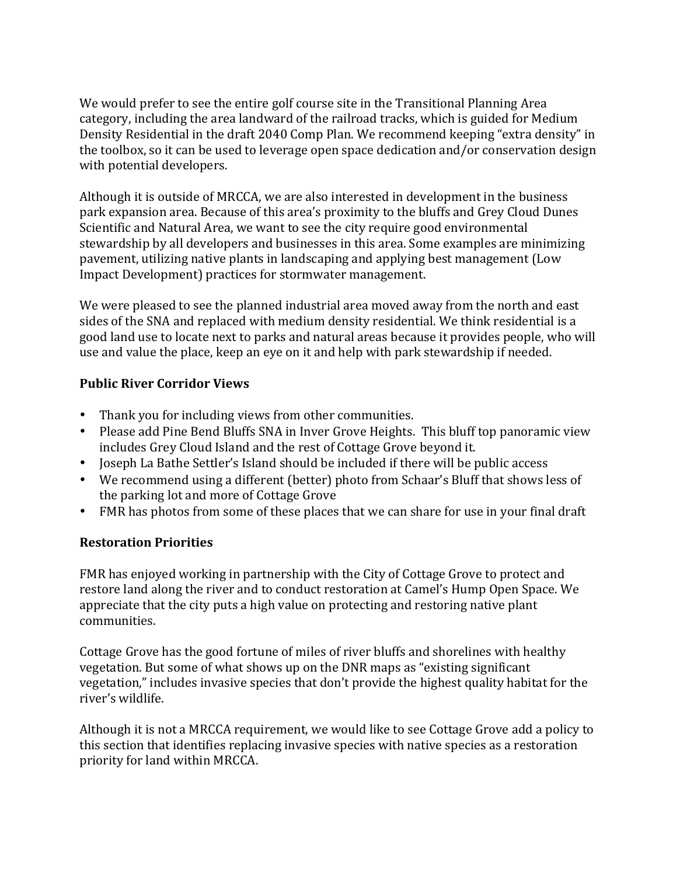We would prefer to see the entire golf course site in the Transitional Planning Area category, including the area landward of the railroad tracks, which is guided for Medium Density Residential in the draft 2040 Comp Plan. We recommend keeping "extra density" in the toolbox, so it can be used to leverage open space dedication and/or conservation design with potential developers.

Although it is outside of MRCCA, we are also interested in development in the business park expansion area. Because of this area's proximity to the bluffs and Grey Cloud Dunes Scientific and Natural Area, we want to see the city require good environmental stewardship by all developers and businesses in this area. Some examples are minimizing pavement, utilizing native plants in landscaping and applying best management (Low Impact Development) practices for stormwater management.

We were pleased to see the planned industrial area moved away from the north and east sides of the SNA and replaced with medium density residential. We think residential is a good land use to locate next to parks and natural areas because it provides people, who will use and value the place, keep an eye on it and help with park stewardship if needed.

## **Public River Corridor Views**

- Thank you for including views from other communities.
- Please add Pine Bend Bluffs SNA in Inver Grove Heights. This bluff top panoramic view includes Grey Cloud Island and the rest of Cottage Grove beyond it.
- Joseph La Bathe Settler's Island should be included if there will be public access
- We recommend using a different (better) photo from Schaar's Bluff that shows less of the parking lot and more of Cottage Grove
- FMR has photos from some of these places that we can share for use in your final draft

## **Restoration Priorities**

FMR has enjoyed working in partnership with the City of Cottage Grove to protect and restore land along the river and to conduct restoration at Camel's Hump Open Space. We appreciate that the city puts a high value on protecting and restoring native plant communities.

Cottage Grove has the good fortune of miles of river bluffs and shorelines with healthy vegetation. But some of what shows up on the DNR maps as "existing significant vegetation," includes invasive species that don't provide the highest quality habitat for the river's wildlife.

Although it is not a MRCCA requirement, we would like to see Cottage Grove add a policy to this section that identifies replacing invasive species with native species as a restoration priority for land within MRCCA.